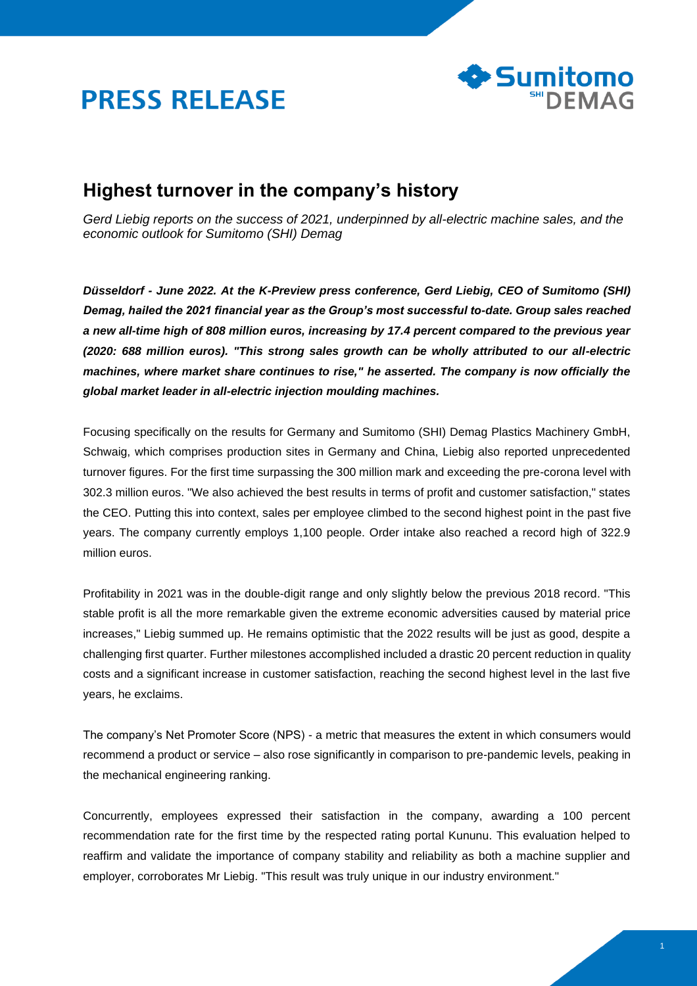



## **Highest turnover in the company's history**

*Gerd Liebig reports on the success of 2021, underpinned by all-electric machine sales, and the economic outlook for Sumitomo (SHI) Demag*

*Düsseldorf - June 2022. At the K-Preview press conference, Gerd Liebig, CEO of Sumitomo (SHI) Demag, hailed the 2021 financial year as the Group's most successful to-date. Group sales reached a new all-time high of 808 million euros, increasing by 17.4 percent compared to the previous year (2020: 688 million euros). "This strong sales growth can be wholly attributed to our all-electric machines, where market share continues to rise," he asserted. The company is now officially the global market leader in all-electric injection moulding machines.*

Focusing specifically on the results for Germany and Sumitomo (SHI) Demag Plastics Machinery GmbH, Schwaig, which comprises production sites in Germany and China, Liebig also reported unprecedented turnover figures. For the first time surpassing the 300 million mark and exceeding the pre-corona level with 302.3 million euros. "We also achieved the best results in terms of profit and customer satisfaction," states the CEO. Putting this into context, sales per employee climbed to the second highest point in the past five years. The company currently employs 1,100 people. Order intake also reached a record high of 322.9 million euros.

Profitability in 2021 was in the double-digit range and only slightly below the previous 2018 record. "This stable profit is all the more remarkable given the extreme economic adversities caused by material price increases," Liebig summed up. He remains optimistic that the 2022 results will be just as good, despite a challenging first quarter. Further milestones accomplished included a drastic 20 percent reduction in quality costs and a significant increase in customer satisfaction, reaching the second highest level in the last five years, he exclaims.

The company's Net Promoter Score (NPS) - a metric that measures the extent in which consumers would recommend a product or service – also rose significantly in comparison to pre-pandemic levels, peaking in the mechanical engineering ranking.

Concurrently, employees expressed their satisfaction in the company, awarding a 100 percent recommendation rate for the first time by the respected rating portal Kununu. This evaluation helped to reaffirm and validate the importance of company stability and reliability as both a machine supplier and employer, corroborates Mr Liebig. "This result was truly unique in our industry environment."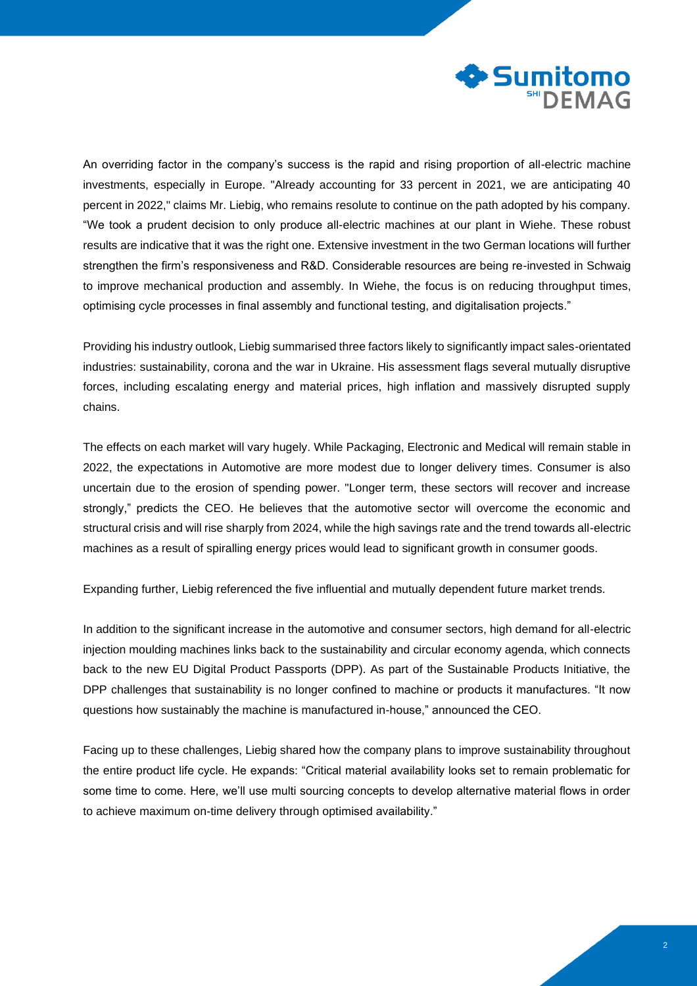

An overriding factor in the company's success is the rapid and rising proportion of all-electric machine investments, especially in Europe. "Already accounting for 33 percent in 2021, we are anticipating 40 percent in 2022," claims Mr. Liebig, who remains resolute to continue on the path adopted by his company. "We took a prudent decision to only produce all-electric machines at our plant in Wiehe. These robust results are indicative that it was the right one. Extensive investment in the two German locations will further strengthen the firm's responsiveness and R&D. Considerable resources are being re-invested in Schwaig to improve mechanical production and assembly. In Wiehe, the focus is on reducing throughput times, optimising cycle processes in final assembly and functional testing, and digitalisation projects."

Providing his industry outlook, Liebig summarised three factors likely to significantly impact sales-orientated industries: sustainability, corona and the war in Ukraine. His assessment flags several mutually disruptive forces, including escalating energy and material prices, high inflation and massively disrupted supply chains.

The effects on each market will vary hugely. While Packaging, Electronic and Medical will remain stable in 2022, the expectations in Automotive are more modest due to longer delivery times. Consumer is also uncertain due to the erosion of spending power. "Longer term, these sectors will recover and increase strongly," predicts the CEO. He believes that the automotive sector will overcome the economic and structural crisis and will rise sharply from 2024, while the high savings rate and the trend towards all-electric machines as a result of spiralling energy prices would lead to significant growth in consumer goods.

Expanding further, Liebig referenced the five influential and mutually dependent future market trends.

In addition to the significant increase in the automotive and consumer sectors, high demand for all-electric injection moulding machines links back to the sustainability and circular economy agenda, which connects back to the new EU Digital Product Passports (DPP). As part of the Sustainable Products Initiative, the DPP challenges that sustainability is no longer confined to machine or products it manufactures. "It now questions how sustainably the machine is manufactured in-house," announced the CEO.

Facing up to these challenges, Liebig shared how the company plans to improve sustainability throughout the entire product life cycle. He expands: "Critical material availability looks set to remain problematic for some time to come. Here, we'll use multi sourcing concepts to develop alternative material flows in order to achieve maximum on-time delivery through optimised availability."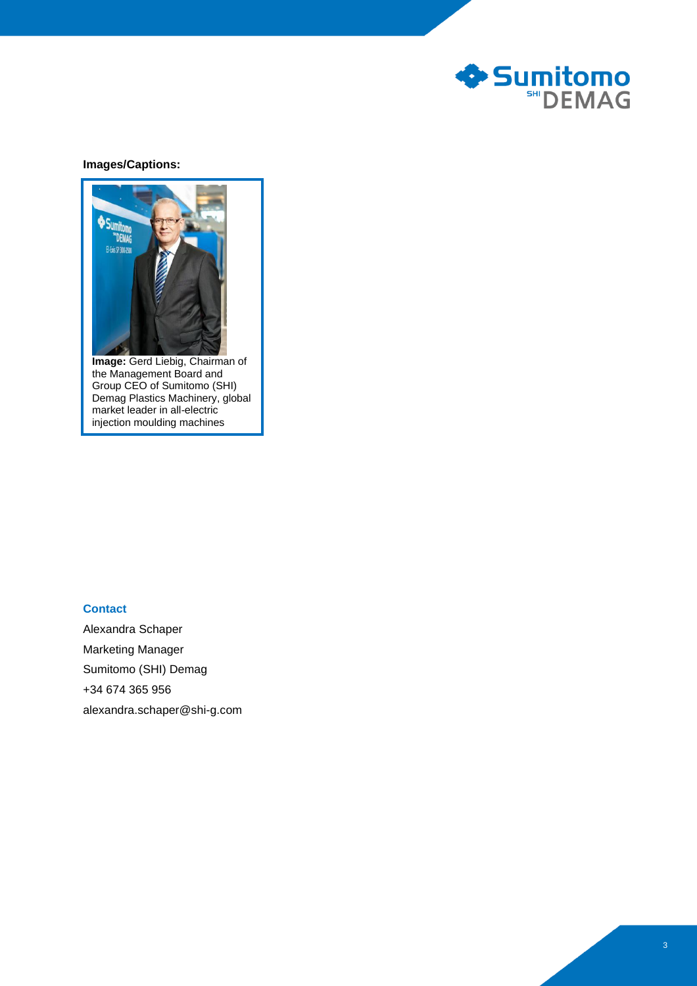

## **Images/Captions:**



**Image:** Gerd Liebig, Chairman of the Management Board and Group CEO of Sumitomo (SHI) Demag Plastics Machinery, global market leader in all-electric injection moulding machines

## **Contact**

Alexandra Schaper Marketing Manager Sumitomo (SHI) Demag +34 674 365 956 alexandra.schaper@shi-g.com